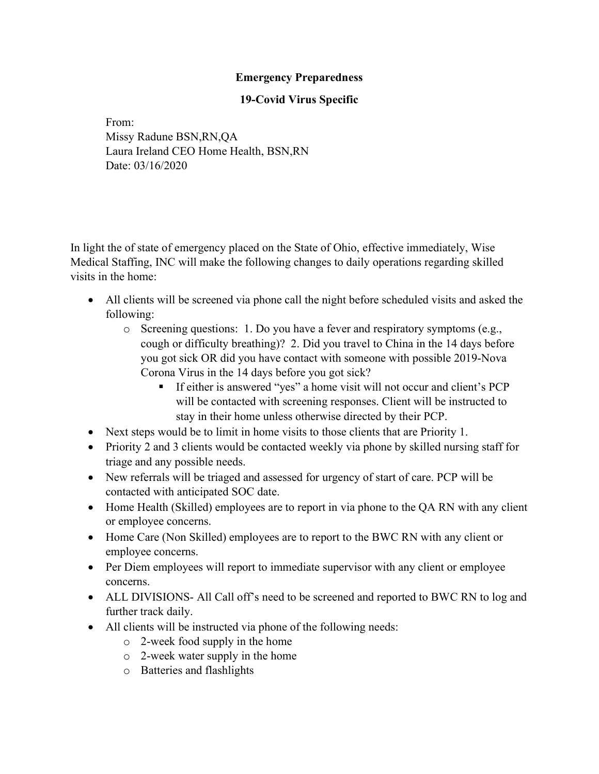## Emergency Preparedness

## 19-Covid Virus Specific

From: Missy Radune BSN,RN,QA Laura Ireland CEO Home Health, BSN,RN Date: 03/16/2020

In light the of state of emergency placed on the State of Ohio, effective immediately, Wise Medical Staffing, INC will make the following changes to daily operations regarding skilled visits in the home:

- All clients will be screened via phone call the night before scheduled visits and asked the following:
	- o Screening questions: 1. Do you have a fever and respiratory symptoms (e.g., cough or difficulty breathing)? 2. Did you travel to China in the 14 days before you got sick OR did you have contact with someone with possible 2019-Nova Corona Virus in the 14 days before you got sick?
		- If either is answered "yes" a home visit will not occur and client's PCP will be contacted with screening responses. Client will be instructed to stay in their home unless otherwise directed by their PCP.
- Next steps would be to limit in home visits to those clients that are Priority 1.
- Priority 2 and 3 clients would be contacted weekly via phone by skilled nursing staff for triage and any possible needs.
- New referrals will be triaged and assessed for urgency of start of care. PCP will be contacted with anticipated SOC date.
- Home Health (Skilled) employees are to report in via phone to the QA RN with any client or employee concerns.
- Home Care (Non Skilled) employees are to report to the BWC RN with any client or employee concerns.
- Per Diem employees will report to immediate supervisor with any client or employee concerns.
- ALL DIVISIONS- All Call off's need to be screened and reported to BWC RN to log and further track daily.
- All clients will be instructed via phone of the following needs:
	- o 2-week food supply in the home
	- o 2-week water supply in the home
	- o Batteries and flashlights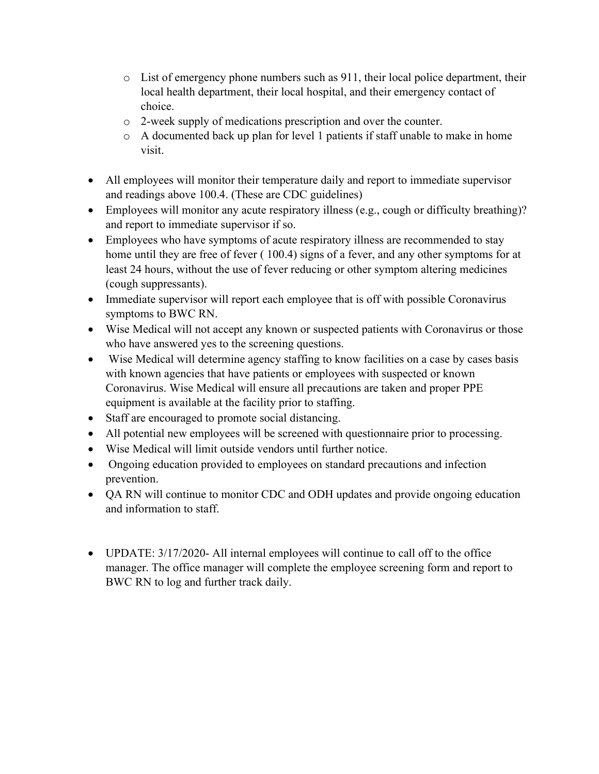- o List of emergency phone numbers such as 911, their local police department, their local health department, their local hospital, and their emergency contact of choice.
- o 2-week supply of medications prescription and over the counter.
- o A documented back up plan for level 1 patients if staff unable to make in home visit.
- All employees will monitor their temperature daily and report to immediate supervisor and readings above 100.4. (These are CDC guidelines)
- Employees will monitor any acute respiratory illness (e.g., cough or difficulty breathing)? and report to immediate supervisor if so.
- Employees who have symptoms of acute respiratory illness are recommended to stay home until they are free of fever ( 100.4) signs of a fever, and any other symptoms for at least 24 hours, without the use of fever reducing or other symptom altering medicines (cough suppressants).
- Immediate supervisor will report each employee that is off with possible Coronavirus symptoms to BWC RN.
- Wise Medical will not accept any known or suspected patients with Coronavirus or those who have answered yes to the screening questions.
- Wise Medical will determine agency staffing to know facilities on a case by cases basis with known agencies that have patients or employees with suspected or known Coronavirus. Wise Medical will ensure all precautions are taken and proper PPE equipment is available at the facility prior to staffing.
- Staff are encouraged to promote social distancing.
- All potential new employees will be screened with questionnaire prior to processing.
- Wise Medical will limit outside vendors until further notice.
- Ongoing education provided to employees on standard precautions and infection prevention.
- QA RN will continue to monitor CDC and ODH updates and provide ongoing education and information to staff.
- UPDATE: 3/17/2020- All internal employees will continue to call off to the office manager. The office manager will complete the employee screening form and report to BWC RN to log and further track daily.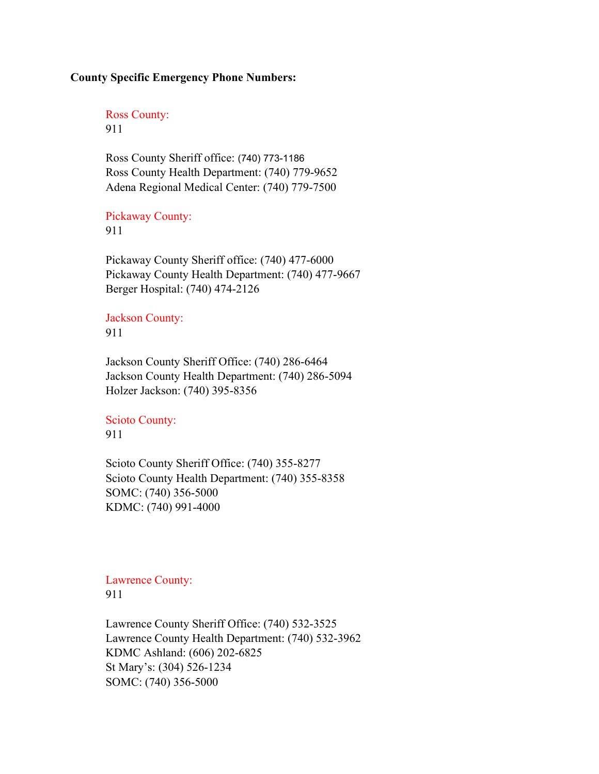### County Specific Emergency Phone Numbers:

Ross County: 911

Ross County Sheriff office: (740) 773-1186 Ross County Health Department: (740) 779-9652 Adena Regional Medical Center: (740) 779-7500

### Pickaway County: 911

Pickaway County Sheriff office: (740) 477-6000 Pickaway County Health Department: (740) 477-9667 Berger Hospital: (740) 474-2126

### Jackson County: 911

Jackson County Sheriff Office: (740) 286-6464 Jackson County Health Department: (740) 286-5094 Holzer Jackson: (740) 395-8356

# Scioto County:

## 911

Scioto County Sheriff Office: (740) 355-8277 Scioto County Health Department: (740) 355-8358 SOMC: (740) 356-5000 KDMC: (740) 991-4000

### Lawrence County: 911

Lawrence County Sheriff Office: (740) 532-3525 Lawrence County Health Department: (740) 532-3962 KDMC Ashland: (606) 202-6825 St Mary's: (304) 526-1234 SOMC: (740) 356-5000